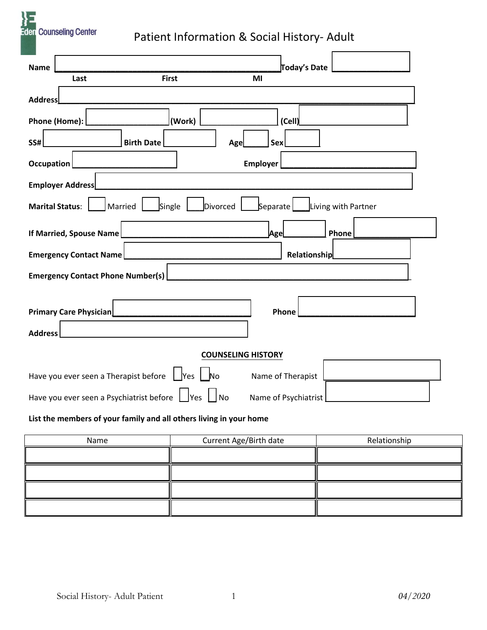**Eden** Counseling Center

# Patient Information & Social History- Adult

| <b>∏oday's Date</b><br><b>Name</b>                                                           |  |  |  |  |  |
|----------------------------------------------------------------------------------------------|--|--|--|--|--|
| <b>First</b><br>MI<br>Last                                                                   |  |  |  |  |  |
| <b>Address</b>                                                                               |  |  |  |  |  |
| Phone (Home):<br>(Work)<br>(Cell)                                                            |  |  |  |  |  |
| <b>SS#</b><br><b>Birth Date</b><br>Sex<br>Age                                                |  |  |  |  |  |
| <b>Employer</b><br><b>Occupation</b>                                                         |  |  |  |  |  |
| <b>Employer Address</b>                                                                      |  |  |  |  |  |
| Single<br>Separate  <br>Living with Partner<br>Divorced<br><b>Marital Status:</b><br>Married |  |  |  |  |  |
| If Married, Spouse Name<br>Phone<br>Age                                                      |  |  |  |  |  |
| <b>Relationship</b><br><b>Emergency Contact Name</b>                                         |  |  |  |  |  |
| <b>Emergency Contact Phone Number(s)</b>                                                     |  |  |  |  |  |
|                                                                                              |  |  |  |  |  |
| <b>Primary Care Physician</b><br>Phone                                                       |  |  |  |  |  |
| <b>Address</b>                                                                               |  |  |  |  |  |
| <b>COUNSELING HISTORY</b>                                                                    |  |  |  |  |  |
| Yes   No<br>Have you ever seen a Therapist before<br>Name of Therapist                       |  |  |  |  |  |
| $\vert$ No<br>Have you ever seen a Psychiatrist before $\Box$ Yes<br>Name of Psychiatrist    |  |  |  |  |  |
| List the members of your family and all others living in your home                           |  |  |  |  |  |

## **List the members of your family and all others living in your home**

| Name | Current Age/Birth date<br>Relationship |  |
|------|----------------------------------------|--|
|      |                                        |  |
|      |                                        |  |
|      |                                        |  |
|      |                                        |  |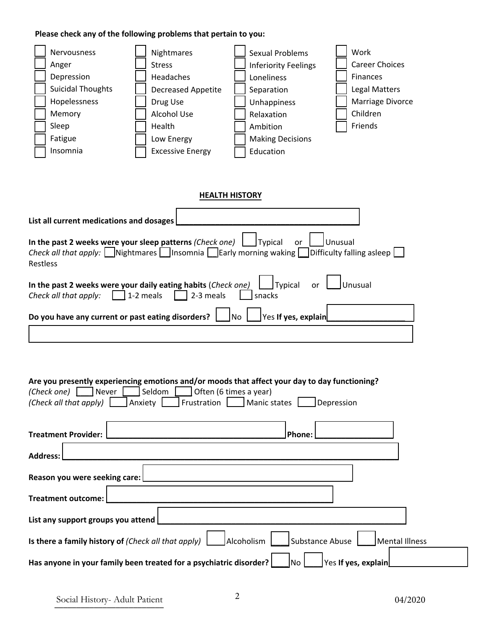### **Please check any of the following problems that pertain to you:**



#### **HEALTH HISTORY**

| List all current medications and dosages                                                                                                                                                                                          |
|-----------------------------------------------------------------------------------------------------------------------------------------------------------------------------------------------------------------------------------|
| In the past 2 weeks were your sleep patterns (Check one) $\Box$ Typical or $\Box$ Unusual Check all that apply: $\Box$ Nightmares $\Box$ Insomnia $\Box$ Early morning waking $\Box$ Difficulty falling asleep $\Box$<br>Restless |
| In the past 2 weeks were your daily eating habits (Check one) I Typical or Junusual<br>Check all that apply: $\Box$ 1-2 meals $\Box$ 2-3 meals $\Box$ snacks                                                                      |
| Do you have any current or past eating disorders?   No   Yes If yes, explain                                                                                                                                                      |
|                                                                                                                                                                                                                                   |

#### **Are you presently experiencing emotions and/or moods that affect your day to day functioning?**

| Are you presently experiencing emotions analy or moods that arrest your day to day runctioning.        |  |  |  |  |
|--------------------------------------------------------------------------------------------------------|--|--|--|--|
| Often (6 times a year)<br>(Check one)<br>Seldom<br>Never                                               |  |  |  |  |
| (Check all that apply)<br>Frustration<br>Anxiety<br><b>Manic states</b><br>Depression                  |  |  |  |  |
|                                                                                                        |  |  |  |  |
| <b>Treatment Provider:</b><br> Phone:                                                                  |  |  |  |  |
| <b>Address:</b>                                                                                        |  |  |  |  |
| Reason you were seeking care:                                                                          |  |  |  |  |
| <b>Treatment outcome:</b>                                                                              |  |  |  |  |
| List any support groups you attend                                                                     |  |  |  |  |
| Substance Abuse<br>Is there a family history of (Check all that apply)<br>Alcoholism<br>Mental Illness |  |  |  |  |
| Has anyone in your family been treated for a psychiatric disorder?<br>Yes If yes, explain<br> No       |  |  |  |  |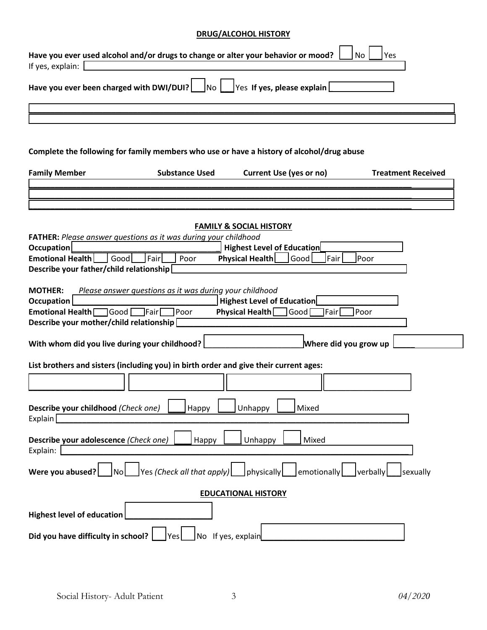# **DRUG/ALCOHOL HISTORY**

| If yes, explain:                                                                                        | Have you ever used alcohol and/or drugs to change or alter your behavior or mood?         |                                    | <b>No</b><br>Yes          |  |  |  |
|---------------------------------------------------------------------------------------------------------|-------------------------------------------------------------------------------------------|------------------------------------|---------------------------|--|--|--|
| Have you ever been charged with DWI/DUI?                                                                | No                                                                                        | Yes If yes, please explain         |                           |  |  |  |
|                                                                                                         |                                                                                           |                                    |                           |  |  |  |
|                                                                                                         |                                                                                           |                                    |                           |  |  |  |
|                                                                                                         |                                                                                           |                                    |                           |  |  |  |
|                                                                                                         | Complete the following for family members who use or have a history of alcohol/drug abuse |                                    |                           |  |  |  |
| <b>Family Member</b>                                                                                    | <b>Substance Used</b>                                                                     | <b>Current Use (yes or no)</b>     | <b>Treatment Received</b> |  |  |  |
|                                                                                                         |                                                                                           |                                    |                           |  |  |  |
|                                                                                                         |                                                                                           |                                    |                           |  |  |  |
|                                                                                                         |                                                                                           |                                    |                           |  |  |  |
|                                                                                                         |                                                                                           | <b>FAMILY &amp; SOCIAL HISTORY</b> |                           |  |  |  |
|                                                                                                         | FATHER: Please answer questions as it was during your childhood                           |                                    |                           |  |  |  |
| Occupation                                                                                              |                                                                                           | <b>Highest Level of Education</b>  |                           |  |  |  |
| <b>Emotional Health</b><br>Good                                                                         | Fair<br>Poor                                                                              | Physical Health<br>Good            | Fair<br>Poor              |  |  |  |
| Describe your father/child relationship                                                                 |                                                                                           |                                    |                           |  |  |  |
| <b>MOTHER:</b>                                                                                          |                                                                                           |                                    |                           |  |  |  |
| <b>Occupation</b>                                                                                       | Please answer questions as it was during your childhood                                   | <b>Highest Level of Education</b>  |                           |  |  |  |
| Physical Health<br><b>Emotional Health</b><br> Good [<br><b>l</b> Fairl<br>Poor<br>Good<br>Fair<br>Poor |                                                                                           |                                    |                           |  |  |  |
| Describe your mother/child relationship                                                                 |                                                                                           |                                    |                           |  |  |  |
|                                                                                                         |                                                                                           |                                    |                           |  |  |  |
| Where did you grow up<br>With whom did you live during your childhood?                                  |                                                                                           |                                    |                           |  |  |  |
| List brothers and sisters (including you) in birth order and give their current ages:                   |                                                                                           |                                    |                           |  |  |  |
|                                                                                                         |                                                                                           |                                    |                           |  |  |  |
| Describe your childhood (Check one)                                                                     |                                                                                           | Unhappy<br>Mixed                   |                           |  |  |  |
| Explain                                                                                                 | Happy                                                                                     |                                    |                           |  |  |  |
|                                                                                                         |                                                                                           |                                    |                           |  |  |  |
| Describe your adolescence (Check one)                                                                   | Happy                                                                                     | Unhappy<br>Mixed                   |                           |  |  |  |
| Explain:                                                                                                |                                                                                           |                                    |                           |  |  |  |
| Were you abused?<br><b>No</b>                                                                           | Yes (Check all that apply)                                                                | physically<br>emotionally          | verbally<br>sexually      |  |  |  |
|                                                                                                         |                                                                                           | <b>EDUCATIONAL HISTORY</b>         |                           |  |  |  |
|                                                                                                         |                                                                                           |                                    |                           |  |  |  |
| <b>Highest level of education</b>                                                                       |                                                                                           |                                    |                           |  |  |  |
| Did you have difficulty in school?                                                                      | No If yes, explain                                                                        |                                    |                           |  |  |  |
|                                                                                                         | Yes                                                                                       |                                    |                           |  |  |  |